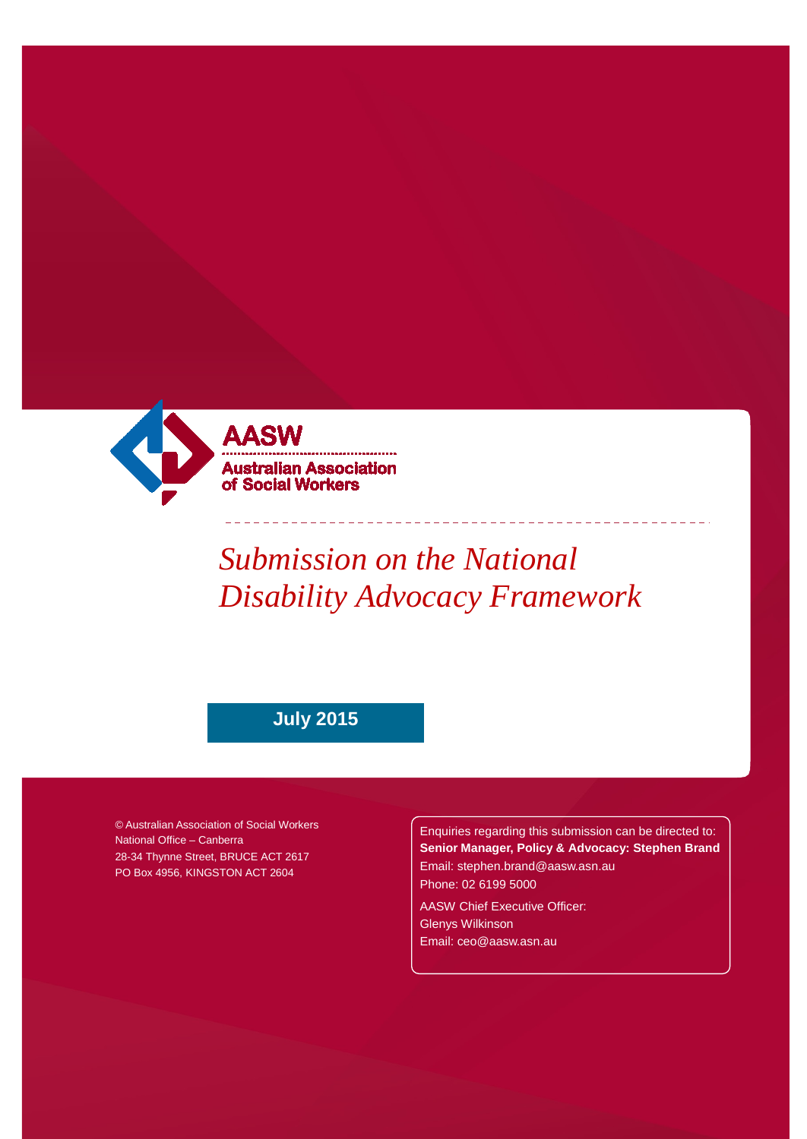

# *Submission on the National Disability Advocacy Framework*

## **July 2015**

© Australian Association of Social Workers National Office – Canberra 28-34 Thynne Street, BRUCE ACT 2617 PO Box 4956, KINGSTON ACT 2604

Enquiries regarding this submission can be directed to: **Senior Manager, Policy & Advocacy: Stephen Brand** [Email: stephen.brand@aasw.asn.au](mailto:stephen.brand@aasw.asn.au) Phone: 02 6199 5000

AASW Chief Executive Officer: Glenys Wilkinson [Email: ceo@aasw.asn.au](mailto:ceo@aasw.asn.au)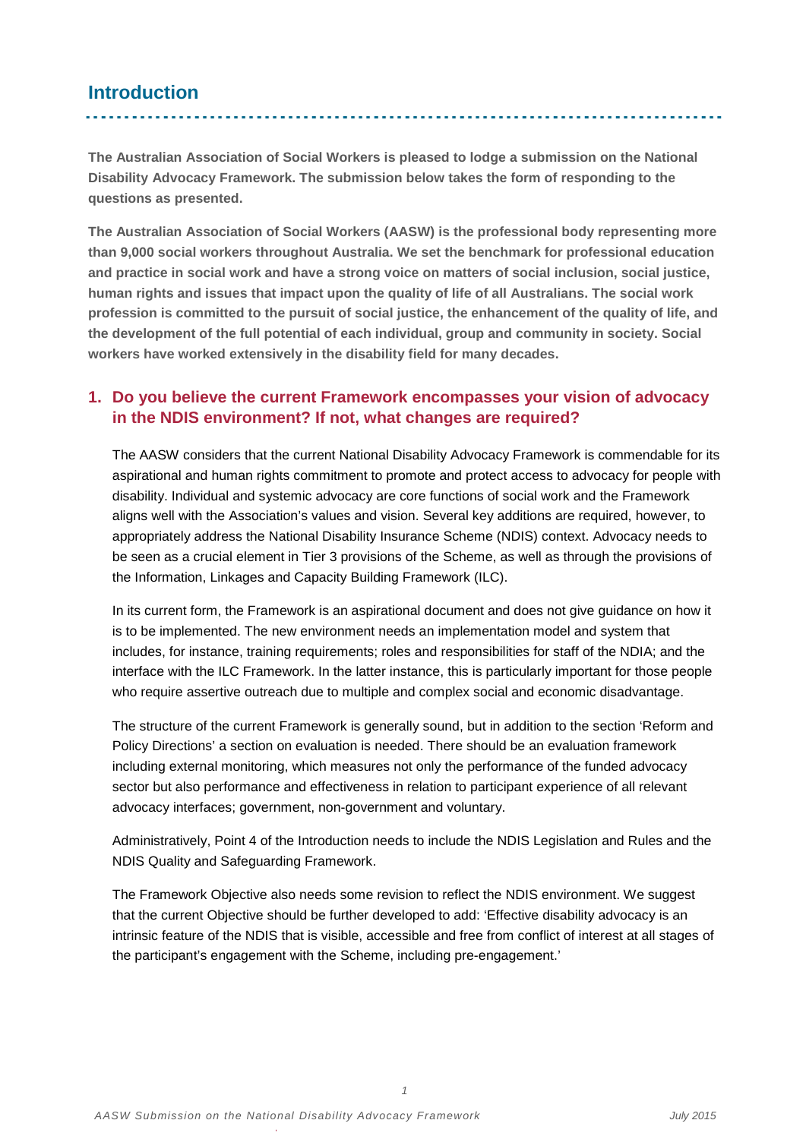### **Introduction**

**The Australian Association of Social Workers is pleased to lodge a submission on the National Disability Advocacy Framework. The submission below takes the form of responding to the questions as presented.** 

**The Australian Association of Social Workers (AASW) is the professional body representing more than 9,000 social workers throughout Australia. We set the benchmark for professional education and practice in social work and have a strong voice on matters of social inclusion, social justice, human rights and issues that impact upon the quality of life of all Australians. The social work profession is committed to the pursuit of social justice, the enhancement of the quality of life, and the development of the full potential of each individual, group and community in society. Social workers have worked extensively in the disability field for many decades.** 

#### **1. Do you believe the current Framework encompasses your vision of advocacy in the NDIS environment? If not, what changes are required?**

The AASW considers that the current National Disability Advocacy Framework is commendable for its aspirational and human rights commitment to promote and protect access to advocacy for people with disability. Individual and systemic advocacy are core functions of social work and the Framework aligns well with the Association's values and vision. Several key additions are required, however, to appropriately address the National Disability Insurance Scheme (NDIS) context. Advocacy needs to be seen as a crucial element in Tier 3 provisions of the Scheme, as well as through the provisions of the Information, Linkages and Capacity Building Framework (ILC).

In its current form, the Framework is an aspirational document and does not give guidance on how it is to be implemented. The new environment needs an implementation model and system that includes, for instance, training requirements; roles and responsibilities for staff of the NDIA; and the interface with the ILC Framework. In the latter instance, this is particularly important for those people who require assertive outreach due to multiple and complex social and economic disadvantage.

The structure of the current Framework is generally sound, but in addition to the section 'Reform and Policy Directions' a section on evaluation is needed. There should be an evaluation framework including external monitoring, which measures not only the performance of the funded advocacy sector but also performance and effectiveness in relation to participant experience of all relevant advocacy interfaces; government, non-government and voluntary.

Administratively, Point 4 of the Introduction needs to include the NDIS Legislation and Rules and the NDIS Quality and Safeguarding Framework.

The Framework Objective also needs some revision to reflect the NDIS environment. We suggest that the current Objective should be further developed to add: 'Effective disability advocacy is an intrinsic feature of the NDIS that is visible, accessible and free from conflict of interest at all stages of the participant's engagement with the Scheme, including pre-engagement.'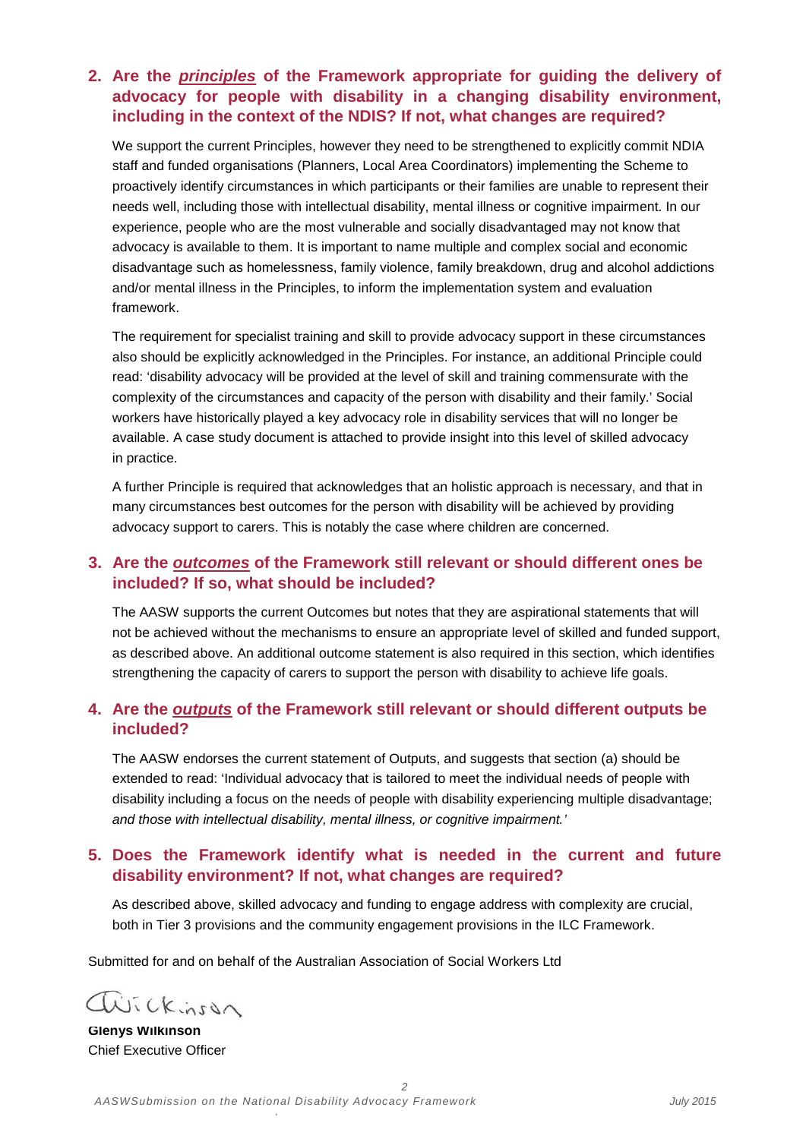#### **2. Are the** *principles* **of the Framework appropriate for guiding the delivery of advocacy for people with disability in a changing disability environment, including in the context of the NDIS? If not, what changes are required?**

We support the current Principles, however they need to be strengthened to explicitly commit NDIA staff and funded organisations (Planners, Local Area Coordinators) implementing the Scheme to proactively identify circumstances in which participants or their families are unable to represent their needs well, including those with intellectual disability, mental illness or cognitive impairment. In our experience, people who are the most vulnerable and socially disadvantaged may not know that advocacy is available to them. It is important to name multiple and complex social and economic disadvantage such as homelessness, family violence, family breakdown, drug and alcohol addictions and/or mental illness in the Principles, to inform the implementation system and evaluation framework.

The requirement for specialist training and skill to provide advocacy support in these circumstances also should be explicitly acknowledged in the Principles. For instance, an additional Principle could read: 'disability advocacy will be provided at the level of skill and training commensurate with the complexity of the circumstances and capacity of the person with disability and their family.' Social workers have historically played a key advocacy role in disability services that will no longer be available. A case study document is attached to provide insight into this level of skilled advocacy in practice.

A further Principle is required that acknowledges that an holistic approach is necessary, and that in many circumstances best outcomes for the person with disability will be achieved by providing advocacy support to carers. This is notably the case where children are concerned.

#### **3. Are the** *outcomes* **of the Framework still relevant or should different ones be included? If so, what should be included?**

The AASW supports the current Outcomes but notes that they are aspirational statements that will not be achieved without the mechanisms to ensure an appropriate level of skilled and funded support, as described above. An additional outcome statement is also required in this section, which identifies strengthening the capacity of carers to support the person with disability to achieve life goals.

#### **4. Are the** *outputs* **of the Framework still relevant or should different outputs be included?**

The AASW endorses the current statement of Outputs, and suggests that section (a) should be extended to read: 'Individual advocacy that is tailored to meet the individual needs of people with disability including a focus on the needs of people with disability experiencing multiple disadvantage; *and those with intellectual disability, mental illness, or cognitive impairment.'*

#### **5. Does the Framework identify what is needed in the current and future disability environment? If not, what changes are required?**

As described above, skilled advocacy and funding to engage address with complexity are crucial, both in Tier 3 provisions and the community engagement provisions in the ILC Framework.

*2*

Submitted for and on behalf of the Australian Association of Social Workers Ltd

avickinson

**Glenys Wilkinson** Chief Executive Officer